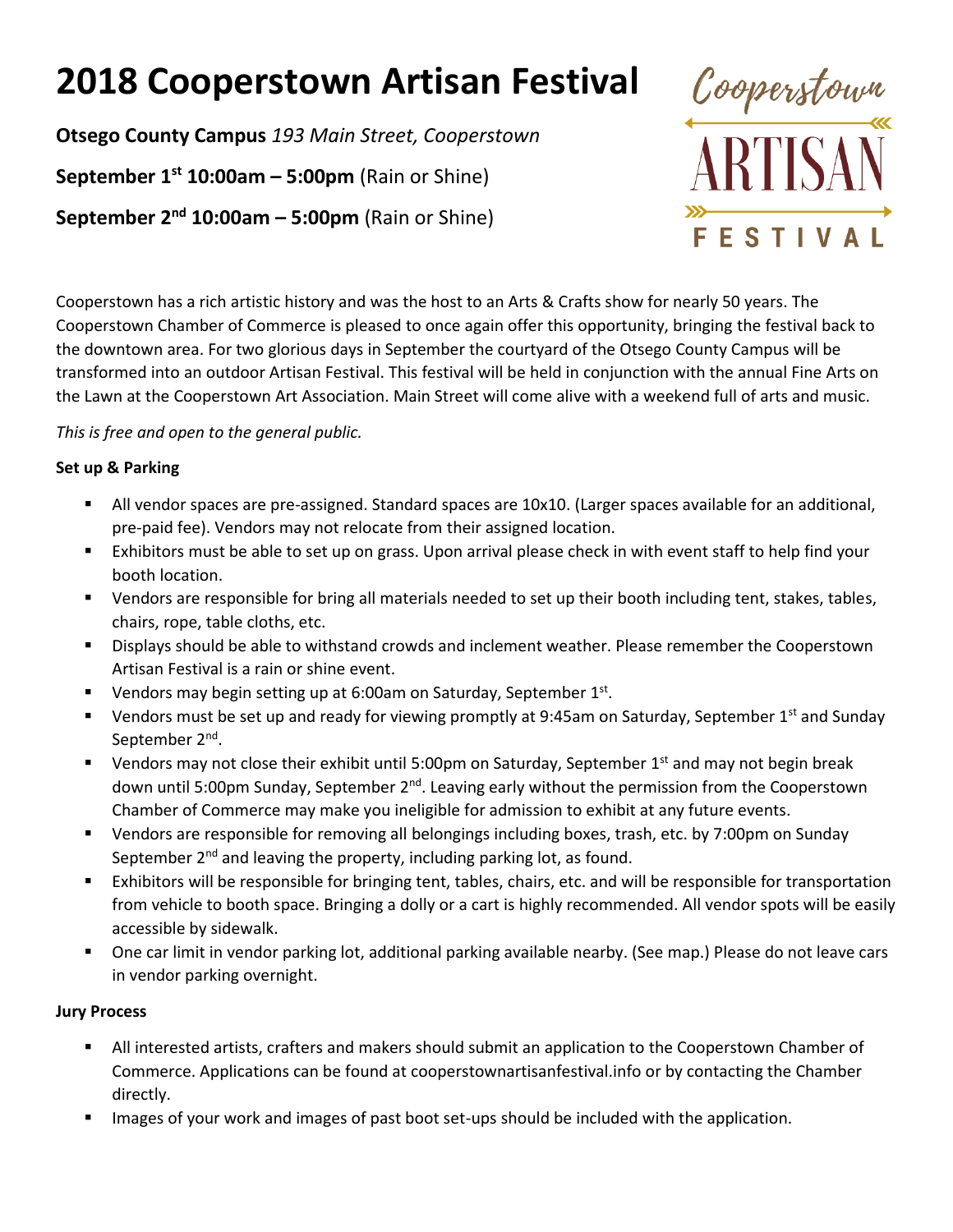# **2018 Cooperstown Artisan Festival**

**Otsego County Campus** *193 Main Street, Cooperstown*

**September 1 st 10:00am – 5:00pm** (Rain or Shine)

**September 2 nd 10:00am – 5:00pm** (Rain or Shine)



Cooperstown has a rich artistic history and was the host to an Arts & Crafts show for nearly 50 years. The Cooperstown Chamber of Commerce is pleased to once again offer this opportunity, bringing the festival back to the downtown area. For two glorious days in September the courtyard of the Otsego County Campus will be transformed into an outdoor Artisan Festival. This festival will be held in conjunction with the annual Fine Arts on the Lawn at the Cooperstown Art Association. Main Street will come alive with a weekend full of arts and music.

### *This is free and open to the general public.*

## **Set up & Parking**

- All vendor spaces are pre-assigned. Standard spaces are 10x10. (Larger spaces available for an additional, pre-paid fee). Vendors may not relocate from their assigned location.
- Exhibitors must be able to set up on grass. Upon arrival please check in with event staff to help find your booth location.
- Vendors are responsible for bring all materials needed to set up their booth including tent, stakes, tables, chairs, rope, table cloths, etc.
- Displays should be able to withstand crowds and inclement weather. Please remember the Cooperstown Artisan Festival is a rain or shine event.
- Uendors may begin setting up at 6:00am on Saturday, September  $1<sup>st</sup>$ .
- **U** Vendors must be set up and ready for viewing promptly at 9:45am on Saturday, September 1<sup>st</sup> and Sunday September 2<sup>nd</sup>.
- Vendors may not close their exhibit until 5:00pm on Saturday, September 1st and may not begin break down until 5:00pm Sunday, September 2<sup>nd</sup>. Leaving early without the permission from the Cooperstown Chamber of Commerce may make you ineligible for admission to exhibit at any future events.
- Vendors are responsible for removing all belongings including boxes, trash, etc. by 7:00pm on Sunday September 2<sup>nd</sup> and leaving the property, including parking lot, as found.
- Exhibitors will be responsible for bringing tent, tables, chairs, etc. and will be responsible for transportation from vehicle to booth space. Bringing a dolly or a cart is highly recommended. All vendor spots will be easily accessible by sidewalk.
- One car limit in vendor parking lot, additional parking available nearby. (See map.) Please do not leave cars in vendor parking overnight.

# **Jury Process**

- All interested artists, crafters and makers should submit an application to the Cooperstown Chamber of Commerce. Applications can be found at cooperstownartisanfestival.info or by contacting the Chamber directly.
- Images of your work and images of past boot set-ups should be included with the application.